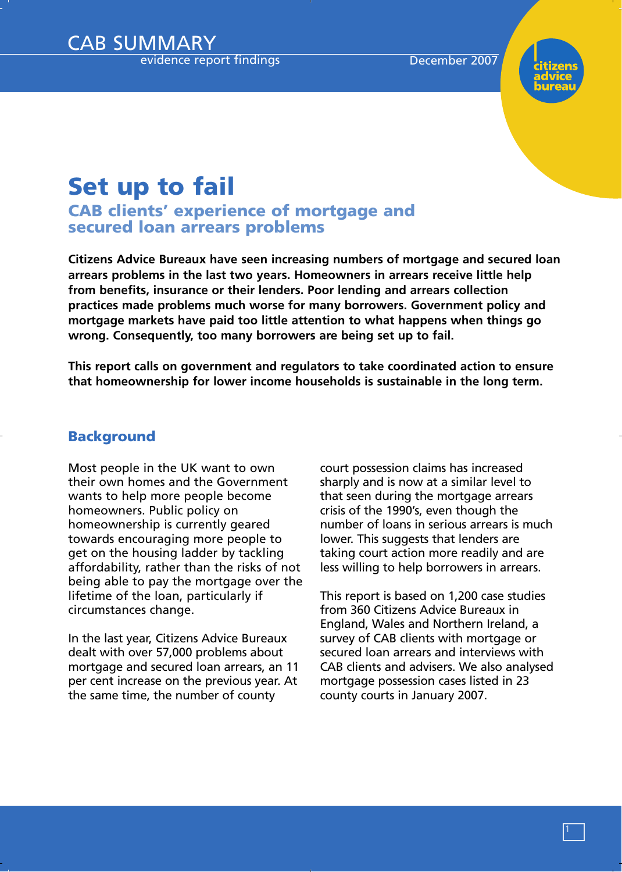

# **Set up to fail**

**CAB clients' experience of mortgage and secured loan arrears problems**

**Citizens Advice Bureaux have seen increasing numbers of mortgage and secured loan arrears problems in the last two years. Homeowners in arrears receive little help from benefits, insurance or their lenders. Poor lending and arrears collection practices made problems much worse for many borrowers. Government policy and mortgage markets have paid too little attention to what happens when things go wrong. Consequently, too many borrowers are being set up to fail.** 

**This report calls on government and regulators to take coordinated action to ensure that homeownership for lower income households is sustainable in the long term.** 

### **Background**

Most people in the UK want to own their own homes and the Government wants to help more people become homeowners. Public policy on homeownership is currently geared towards encouraging more people to get on the housing ladder by tackling affordability, rather than the risks of not being able to pay the mortgage over the lifetime of the loan, particularly if circumstances change.

In the last year, Citizens Advice Bureaux dealt with over 57,000 problems about mortgage and secured loan arrears, an 11 per cent increase on the previous year. At the same time, the number of county

court possession claims has increased sharply and is now at a similar level to that seen during the mortgage arrears crisis of the 1990's, even though the number of loans in serious arrears is much lower. This suggests that lenders are taking court action more readily and are less willing to help borrowers in arrears.

This report is based on 1,200 case studies from 360 Citizens Advice Bureaux in England, Wales and Northern Ireland, a survey of CAB clients with mortgage or secured loan arrears and interviews with CAB clients and advisers. We also analysed mortgage possession cases listed in 23 county courts in January 2007.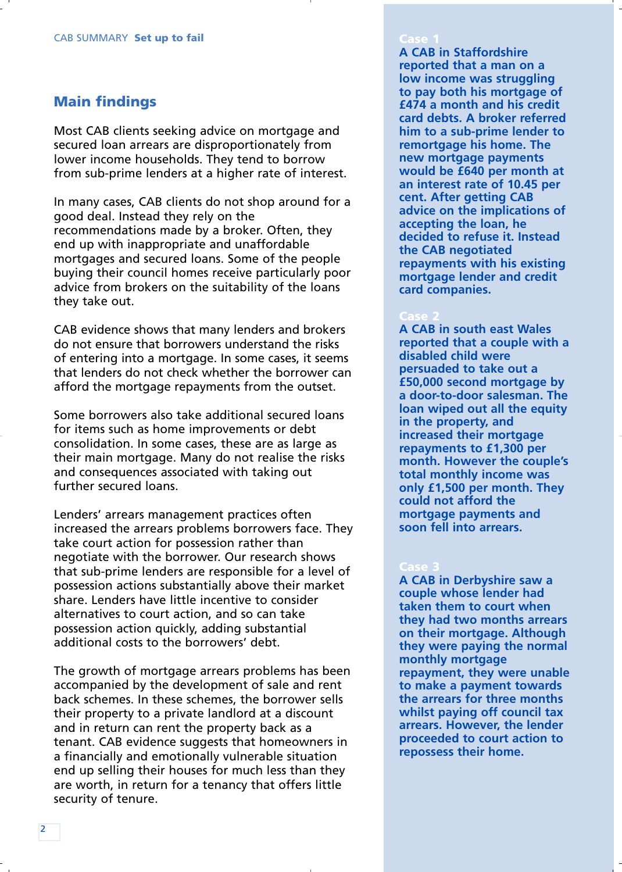### **Main findings**

Most CAB clients seeking advice on mortgage and secured loan arrears are disproportionately from lower income households. They tend to borrow from sub-prime lenders at a higher rate of interest.

In many cases, CAB clients do not shop around for a good deal. Instead they rely on the recommendations made by a broker. Often, they end up with inappropriate and unaffordable mortgages and secured loans. Some of the people buying their council homes receive particularly poor advice from brokers on the suitability of the loans they take out.

CAB evidence shows that many lenders and brokers do not ensure that borrowers understand the risks of entering into a mortgage. In some cases, it seems that lenders do not check whether the borrower can afford the mortgage repayments from the outset.

Some borrowers also take additional secured loans for items such as home improvements or debt consolidation. In some cases, these are as large as their main mortgage. Many do not realise the risks and consequences associated with taking out further secured loans.

Lenders' arrears management practices often increased the arrears problems borrowers face. They take court action for possession rather than negotiate with the borrower. Our research shows that sub-prime lenders are responsible for a level of possession actions substantially above their market share. Lenders have little incentive to consider alternatives to court action, and so can take possession action quickly, adding substantial additional costs to the borrowers' debt.

The growth of mortgage arrears problems has been accompanied by the development of sale and rent back schemes. In these schemes, the borrower sells their property to a private landlord at a discount and in return can rent the property back as a tenant. CAB evidence suggests that homeowners in a financially and emotionally vulnerable situation end up selling their houses for much less than they are worth, in return for a tenancy that offers little security of tenure.

### **Case 1**

**A CAB in Staffordshire reported that a man on a low income was struggling to pay both his mortgage of £474 a month and his credit card debts. A broker referred him to a sub-prime lender to remortgage his home. The new mortgage payments would be £640 per month at an interest rate of 10.45 per cent. After getting CAB advice on the implications of accepting the loan, he decided to refuse it. Instead the CAB negotiated repayments with his existing mortgage lender and credit card companies.** 

**A CAB in south east Wales reported that a couple with a disabled child were persuaded to take out a £50,000 second mortgage by a door-to-door salesman. The loan wiped out all the equity in the property, and increased their mortgage repayments to £1,300 per month. However the couple's total monthly income was only £1,500 per month. They could not afford the mortgage payments and soon fell into arrears.** 

**A CAB in Derbyshire saw a couple whose lender had taken them to court when they had two months arrears on their mortgage. Although they were paying the normal monthly mortgage repayment, they were unable to make a payment towards the arrears for three months whilst paying off council tax arrears. However, the lender proceeded to court action to repossess their home.**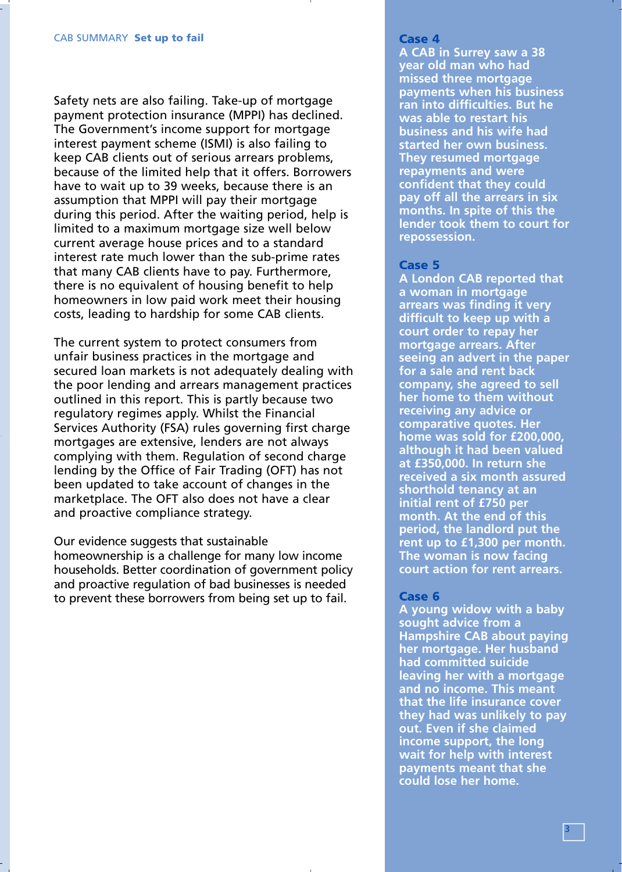Safety nets are also failing. Take-up of mortgage payment protection insurance (MPPI) has declined. The Government's income support for mortgage interest payment scheme (ISMI) is also failing to keep CAB clients out of serious arrears problems, because of the limited help that it offers. Borrowers have to wait up to 39 weeks, because there is an assumption that MPPI will pay their mortgage during this period. After the waiting period, help is limited to a maximum mortgage size well below current average house prices and to a standard interest rate much lower than the sub-prime rates that many CAB clients have to pay. Furthermore, there is no equivalent of housing benefit to help homeowners in low paid work meet their housing costs, leading to hardship for some CAB clients.

The current system to protect consumers from unfair business practices in the mortgage and secured loan markets is not adequately dealing with the poor lending and arrears management practices outlined in this report. This is partly because two regulatory regimes apply. Whilst the Financial Services Authority (FSA) rules governing first charge mortgages are extensive, lenders are not always complying with them. Regulation of second charge lending by the Office of Fair Trading (OFT) has not been updated to take account of changes in the marketplace. The OFT also does not have a clear and proactive compliance strategy.

Our evidence suggests that sustainable homeownership is a challenge for many low income households. Better coordination of government policy and proactive regulation of bad businesses is needed to prevent these borrowers from being set up to fail.

**A CAB in Surrey saw a 38 year old man who had missed three mortgage payments when his business ran into difficulties. But he was able to restart his business and his wife had started her own business. They resumed mortgage repayments and were confident that they could pay off all the arrears in six months. In spite of this the lender took them to court for repossession.**

### **Case 5**

**A London CAB reported that a woman in mortgage arrears was finding it very difficult to keep up with a court order to repay her mortgage arrears. After seeing an advert in the paper for a sale and rent back company, she agreed to sell her home to them without receiving any advice or comparative quotes. Her home was sold for £200,000, although it had been valued at £350,000. In return she received a six month assured shorthold tenancy at an initial rent of £750 per month. At the end of this period, the landlord put the rent up to £1,300 per month. The woman is now facing court action for rent arrears.**

### **Case 6**

**A young widow with a baby sought advice from a Hampshire CAB about paying her mortgage. Her husband had committed suicide leaving her with a mortgage and no income. This meant that the life insurance cover they had was unlikely to pay out. Even if she claimed income support, the long wait for help with interest payments meant that she could lose her home.**